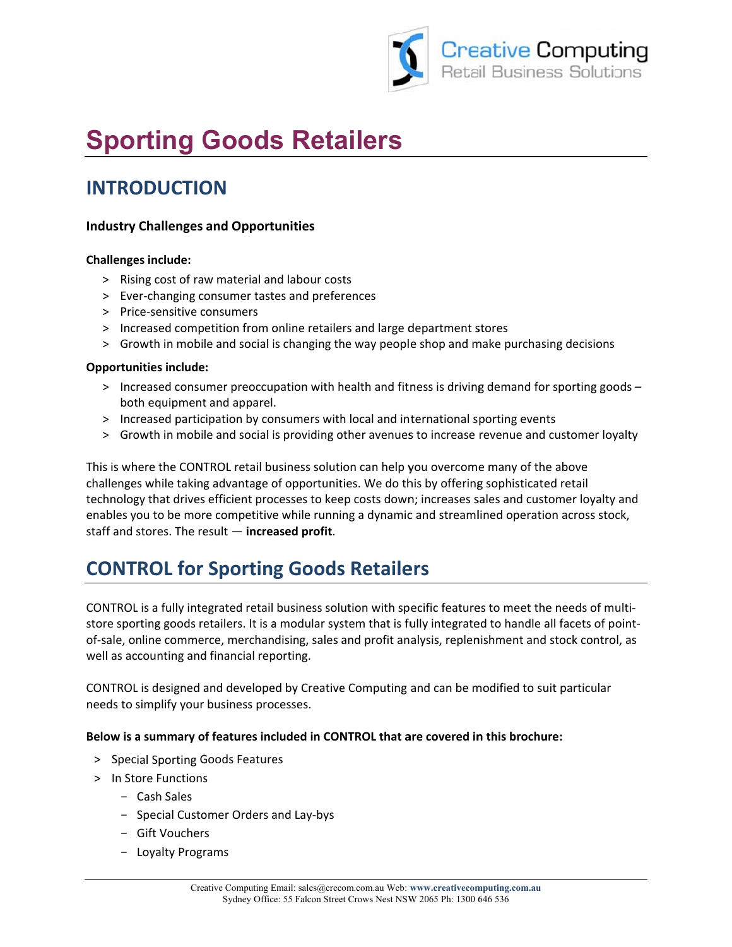

# **Sporting Goods Retailers**

### **INTRODUCTION**

#### **Industry Challenges and Opportunities**

#### **Challenges include:**

- > Rising cost of raw material and labour costs
- > Ever-changing consumer tastes and preferences
- > Price-sensitive consumers
- > Increased competition from online retailers and large department stores
- > Growth in mobile and social is changing the way people shop and make purchasing decisions

#### **Opportunities include:**

- > Increased consumer preoccupation with health and fitness is driving demand for sporting goods both equipment and apparel.
- > Increased participation by consumers with local and international sporting events
- > Growth in mobile and social is providing other avenues to increase revenue and customer loyalty

This is where the CONTROL retail business solution can help you overcome many of the above challenges while taking advantage of opportunities. We do this by offering sophisticated retail technology that drives efficient processes to keep costs down; increases sales and customer loyalty and enables you to be more competitive while running a dynamic and streamlined operation across stock, staff and stores. The result  $-$  increased profit.

## **CONTROL for Sporting Goods Retailers**

CONTROL is a fully integrated retail business solution with specific features to meet the needs of multistore sporting goods retailers. It is a modular system that is fully integrated to handle all facets of pointof-sale, online commerce, merchandising, sales and profit analysis, replenishment and stock control, as well as accounting and financial reporting.

CONTROL is designed and developed by Creative Computing and can be modified to suit particular needs to simplify your business processes.

#### Below is a summary of features included in CONTROL that are covered in this brochure:

- > Special Sporting Goods Features
- > In Store Functions
	- Cash Sales
	- Special Customer Orders and Lay-bys
	- Gift Vouchers
	- Loyalty Programs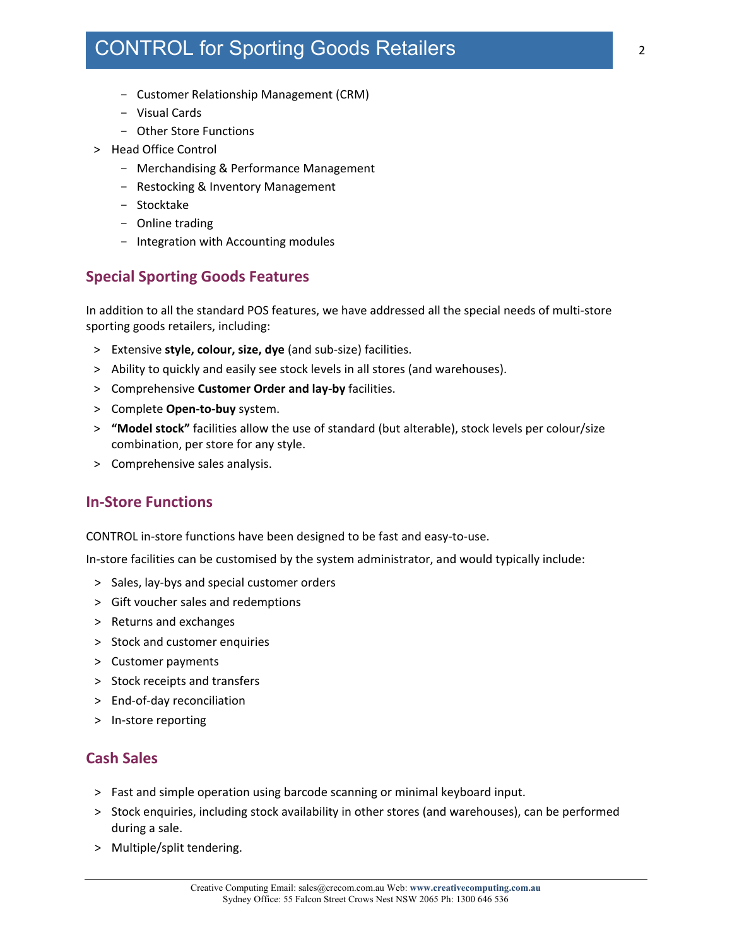### CONTROL for Sporting Goods Retailers

- Customer Relationship Management (CRM)
- Visual Cards
- Other Store Functions
- > Head Office Control
	- Merchandising & Performance Management
	- Restocking & Inventory Management
	- Stocktake
	- Online trading
	- Integration with Accounting modules

#### **Special Sporting Goods Features**

In addition to all the standard POS features, we have addressed all the special needs of multi-store sporting goods retailers, including:

- > Extensive **style, colour, size, dye** (and sub-size) facilities.
- > Ability to quickly and easily see stock levels in all stores (and warehouses).
- > Comprehensive **Customer Order and lay-by** facilities.
- > Complete **Open-to-buy** system.
- > **"Model stock"** facilities allow the use of standard (but alterable), stock levels per colour/size combination, per store for any style.
- > Comprehensive sales analysis.

#### **In-Store Functions**

CONTROL in-store functions have been designed to be fast and easy-to-use.

In-store facilities can be customised by the system administrator, and would typically include:

- > Sales, lay-bys and special customer orders
- > Gift voucher sales and redemptions
- > Returns and exchanges
- > Stock and customer enquiries
- > Customer payments
- > Stock receipts and transfers
- > End-of-day reconciliation
- > In-store reporting

#### **Cash Sales**

- > Fast and simple operation using barcode scanning or minimal keyboard input.
- > Stock enquiries, including stock availability in other stores (and warehouses), can be performed during a sale.
- > Multiple/split tendering.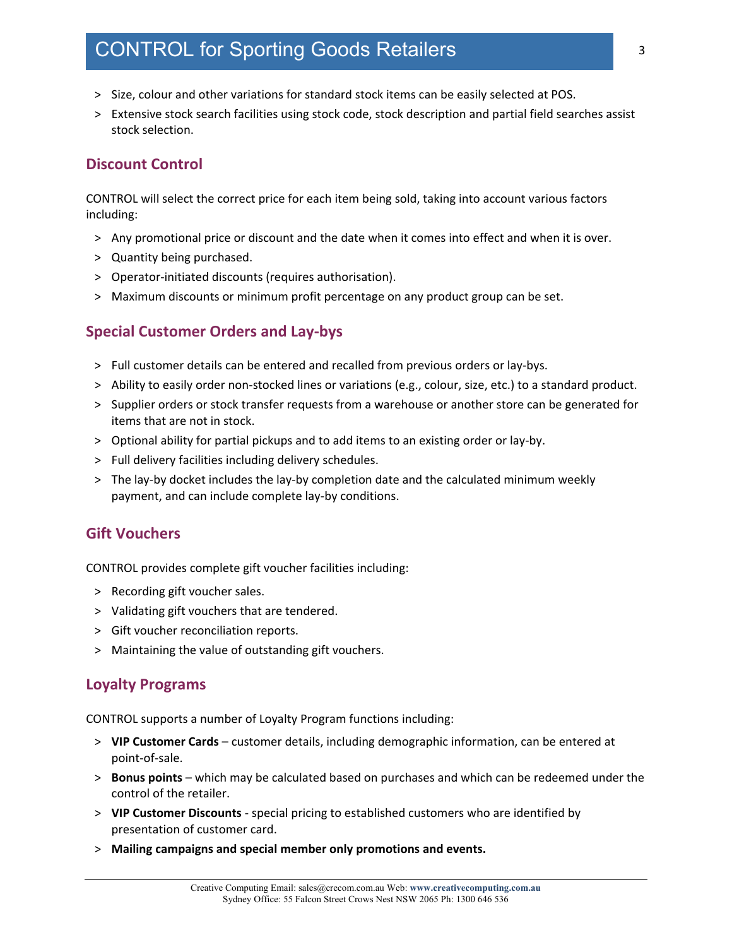### CONTROL for Sporting Goods Retailers

- > Size, colour and other variations for standard stock items can be easily selected at POS.
- > Extensive stock search facilities using stock code, stock description and partial field searches assist stock selection.

#### **Discount Control**

CONTROL will select the correct price for each item being sold, taking into account various factors including:

- > Any promotional price or discount and the date when it comes into effect and when it is over.
- > Quantity being purchased.
- > Operator-initiated discounts (requires authorisation).
- > Maximum discounts or minimum profit percentage on any product group can be set.

#### **Special Customer Orders and Lay-bys**

- > Full customer details can be entered and recalled from previous orders or lay-bys.
- > Ability to easily order non-stocked lines or variations (e.g., colour, size, etc.) to a standard product.
- > Supplier orders or stock transfer requests from a warehouse or another store can be generated for items that are not in stock.
- > Optional ability for partial pickups and to add items to an existing order or lay-by.
- > Full delivery facilities including delivery schedules.
- > The lay-by docket includes the lay-by completion date and the calculated minimum weekly payment, and can include complete lay-by conditions.

#### **Gift Vouchers**

CONTROL provides complete gift voucher facilities including:

- > Recording gift voucher sales.
- > Validating gift vouchers that are tendered.
- > Gift voucher reconciliation reports.
- > Maintaining the value of outstanding gift vouchers.

#### **Loyalty Programs**

CONTROL supports a number of Loyalty Program functions including:

- > **VIP Customer Cards**  customer details, including demographic information, can be entered at point-of-sale.
- > **Bonus points** which may be calculated based on purchases and which can be redeemed under the control of the retailer.
- > **VIP Customer Discounts**  special pricing to established customers who are identified by presentation of customer card.
- > **Mailing campaigns and special member only promotions and events.**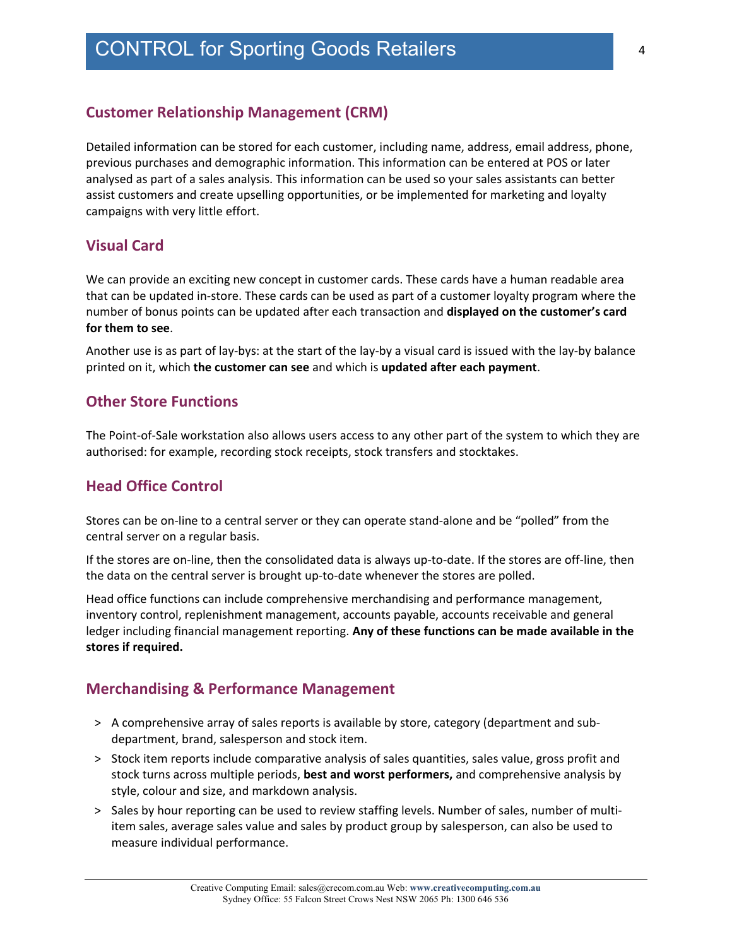#### **Customer Relationship Management (CRM)**

Detailed information can be stored for each customer, including name, address, email address, phone, previous purchases and demographic information. This information can be entered at POS or later analysed as part of a sales analysis. This information can be used so your sales assistants can better assist customers and create upselling opportunities, or be implemented for marketing and loyalty campaigns with very little effort.

#### **Visual Card**

We can provide an exciting new concept in customer cards. These cards have a human readable area that can be updated in-store. These cards can be used as part of a customer loyalty program where the number of bonus points can be updated after each transaction and **displayed on the customer's card for them to see**.

Another use is as part of lay-bys: at the start of the lay-by a visual card is issued with the lay-by balance printed on it, which **the customer can see** and which is **updated after each payment**.

#### **Other Store Functions**

The Point-of-Sale workstation also allows users access to any other part of the system to which they are authorised: for example, recording stock receipts, stock transfers and stocktakes.

#### **Head Office Control**

Stores can be on-line to a central server or they can operate stand-alone and be "polled" from the central server on a regular basis.

If the stores are on-line, then the consolidated data is always up-to-date. If the stores are off-line, then the data on the central server is brought up-to-date whenever the stores are polled.

Head office functions can include comprehensive merchandising and performance management, inventory control, replenishment management, accounts payable, accounts receivable and general ledger including financial management reporting. **Any of these functions can be made available in the stores if required.** 

#### **Merchandising & Performance Management**

- > A comprehensive array of sales reports is available by store, category (department and subdepartment, brand, salesperson and stock item.
- > Stock item reports include comparative analysis of sales quantities, sales value, gross profit and stock turns across multiple periods, **best and worst performers,** and comprehensive analysis by style, colour and size, and markdown analysis.
- > Sales by hour reporting can be used to review staffing levels. Number of sales, number of multiitem sales, average sales value and sales by product group by salesperson, can also be used to measure individual performance.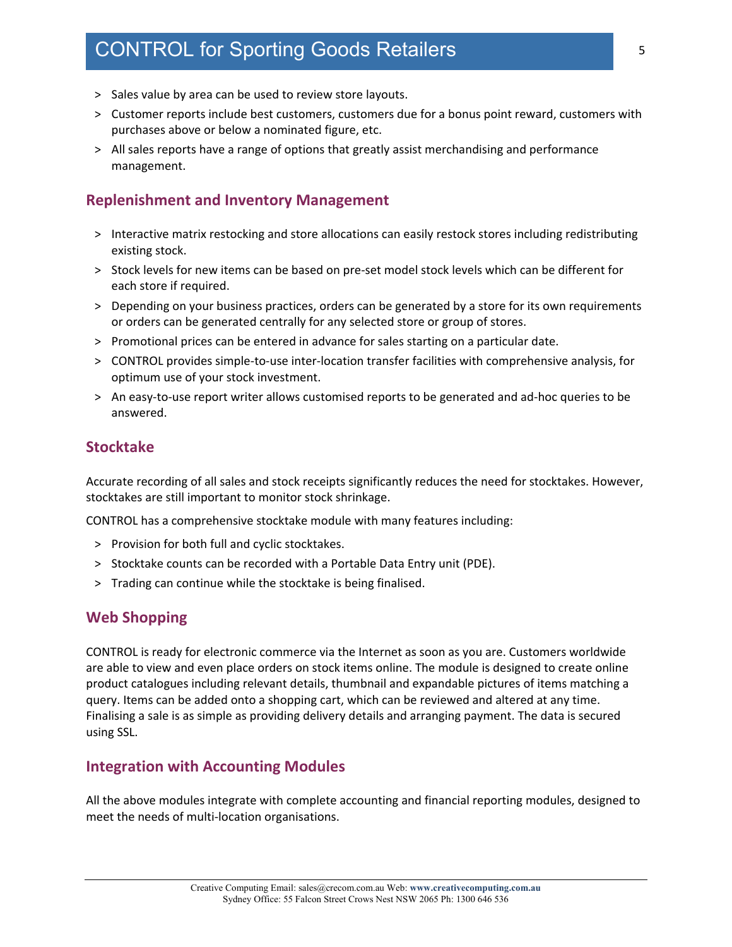### CONTROL for Sporting Goods Retailers

- > Sales value by area can be used to review store layouts.
- > Customer reports include best customers, customers due for a bonus point reward, customers with purchases above or below a nominated figure, etc.
- > All sales reports have a range of options that greatly assist merchandising and performance management.

#### **Replenishment and Inventory Management**

- > Interactive matrix restocking and store allocations can easily restock stores including redistributing existing stock.
- > Stock levels for new items can be based on pre-set model stock levels which can be different for each store if required.
- > Depending on your business practices, orders can be generated by a store for its own requirements or orders can be generated centrally for any selected store or group of stores.
- > Promotional prices can be entered in advance for sales starting on a particular date.
- > CONTROL provides simple-to-use inter-location transfer facilities with comprehensive analysis, for optimum use of your stock investment.
- > An easy-to-use report writer allows customised reports to be generated and ad-hoc queries to be answered.

#### **Stocktake**

Accurate recording of all sales and stock receipts significantly reduces the need for stocktakes. However, stocktakes are still important to monitor stock shrinkage.

CONTROL has a comprehensive stocktake module with many features including:

- > Provision for both full and cyclic stocktakes.
- > Stocktake counts can be recorded with a Portable Data Entry unit (PDE).
- > Trading can continue while the stocktake is being finalised.

#### **Web Shopping**

CONTROL is ready for electronic commerce via the Internet as soon as you are. Customers worldwide are able to view and even place orders on stock items online. The module is designed to create online product catalogues including relevant details, thumbnail and expandable pictures of items matching a query. Items can be added onto a shopping cart, which can be reviewed and altered at any time. Finalising a sale is as simple as providing delivery details and arranging payment. The data is secured using SSL.

#### **Integration with Accounting Modules**

All the above modules integrate with complete accounting and financial reporting modules, designed to meet the needs of multi-location organisations.